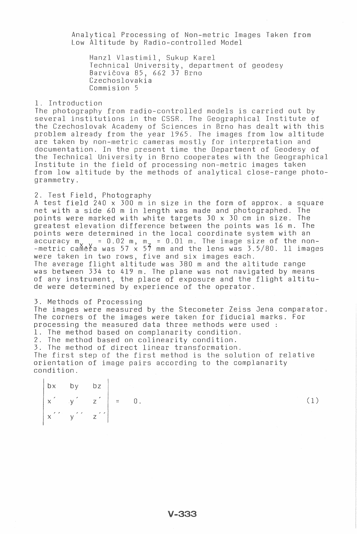Analytical Processing of Non-metric Images Taken from Low Altitude by Radio-controlled Model

Hanzl Vlastimil, Sukup Karel Technical University, department of geodesy Barvicova 85, 662 37 Brno Czechoslovakia Commision 5

1. Introduction

The photography from radio-controlled models is carried out by several institutions in the CSSR. The Geographical Institute of the Czechoslovak Academy of Sciences in Brno has dealt with this problem already from the year 1965. The images from low altitude are taken by non-metric cameras mostly for interpretation and documentation. In the present time the Department of Geodesy of the Technical University in Brno cooperates with the Geographical Institute in the field of processing non-metric images taken from low altitude by the methods of analytical close-range photo grammetry.

2. Test Field, Photography

A test field 240 x 300 m in size in the form of approx. a square net with a side 60 m in length was made and photographed. The points were marked with white targets 30 x 30 cm in size. The greatest elevation difference between the points was 16 m. The points were determined in the local coordinate system with an accuracy m $\sim$   $\sim$  = 0.02 m, m $\sim$  = 0.01 m. The image size of the non--metric camera was 57 x 57 mm and the lens was 3.5/80. 11 images were taken in two rows, five and six images each. The average flight altitude was 380 m and the altitude range was between 334 to 419 m. The plane was not navigated by means of any instrument, the place of exposure and the flight altitude were determined by experience of the operator.

3. Methods of Processing The images were measured by the Stecometer Zeiss Jena comparator. The corners of the images were taken for fiducial marks. For processing the measured data three methods were used : 1. The method based on complanarity condition. 2. The method based on colinearity condition. 3. The method of direct linear transformation. The first step of the first method is the solution of relative orientation of image pairs according to the complanarity condition.

bx by bz  $x' = y' = z' = 0.$  (1)  $x'$  y z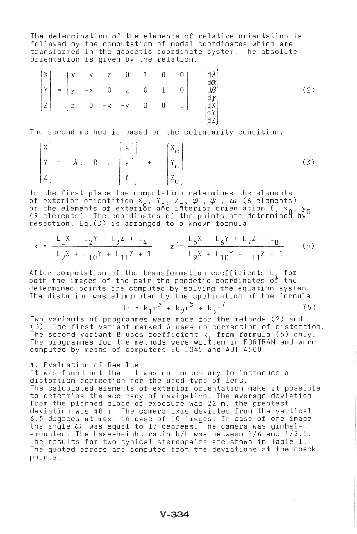The determination of the elements of relative orientation is folloved by the computation of model coordinates which are transformed in the geodetic coordinate system. The absolute orientation is given by the relation.

$$
\begin{pmatrix} X \\ Y \\ Z \end{pmatrix} = \begin{pmatrix} x & y & z & 0 & 1 & 0 & 0 \\ y & -x & 0 & z & 0 & 1 & 0 \\ z & 0 & -x & -y & 0 & 0 & 1 \end{pmatrix} \qquad \begin{pmatrix} d\lambda \\ d\alpha \\ d\beta \\ d\gamma \\ d\lambda \\ d\alpha \\ d\alpha \\ d\alpha \\ d\alpha \\ d\alpha
$$
 (2)

The second method is based on the colinearity condition.

$$
\begin{bmatrix} X \\ Y \\ Z \end{bmatrix} = \lambda . \quad R \quad . \quad \begin{bmatrix} x \\ y' \\ -f \end{bmatrix} + \quad \begin{bmatrix} X_c \\ Y_c \\ Z_c \end{bmatrix}
$$
 (3)

In the first place the computation determines the elements of exterior orientation  $X_{c}$ ,  $Y_{c}$ ,  $Z_{c}$ ,  $\varphi$ ,  $\psi$ ,  $\omega$  (6 elements) or the elements of exterior and interior orientation f,  $x_0$ ,  $y_0$ (9 elements). The coordinates of the points are determined by resection. Eq.(3) is arranged to a known formula

$$
x' = \frac{L_1X + L_2Y + L_3Z + L_4}{L_9X + L_{10}Y + L_{11}Z + 1} \qquad z' = \frac{L_5X + L_6Y + L_7Z + L_8}{L_9X + L_{10}Y + L_{11}Z + 1} \tag{4}
$$

After computation of the transformation coefficients  $L_i$  for both the images of the pair the geodetic coordinates of the determined points are computed by solving the equation system. The distotion was eliminated by the application of the formula The pair the geodetic coordinates of the<br>a computed by solving the equation system.<br>iminated by the application of the formula<br>dr =  $k_1r^3 + k_2r^5 + k_3r^7$  (5)

$$
dr = k_1 r^3 + k_2 r^5 + k_3 r^7
$$
 (5)

Two variants of programmes were made for the methods (2) and (3). The first variant marked A uses no correction of distortion. The second variant B uses coefficient  $k_1$  from formula (5) only. The programmes for the methods were written in FORTRAN and were computed by means of computers EC 1045 and ADT 4500.

## 4. Evaluation of Results

 $\sim$   $\sim$ 

It was found out that it was not necessary to introduce a distortion correction for the used type of lens. The calculated elements of exterior orientation make it possible to determine the accuracy of navigation. The average deviation from the planned place of exposure was 22 m, the greatest deviation was 40 m. The camera axis deviated from the vertical 6.5 degrees at max. in case of 10 images. In case of one image the angle  $\omega$  was equal to 17 degrees. The camera was gimbal--mounted. The base-height ratio b/h was between 1/6 and 1/2.5. The results for two typical stereopairs are shown in Table 1. The quoted errors are computed from the deviations at the check points.